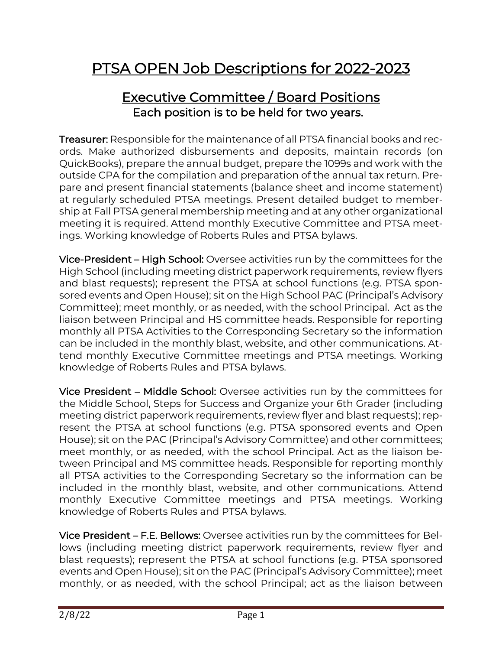# PTSA OPEN Job Descriptions for 2022-2023

#### Executive Committee / Board Positions Each position is to be held for two years.

Treasurer: Responsible for the maintenance of all PTSA financial books and records. Make authorized disbursements and deposits, maintain records (on QuickBooks), prepare the annual budget, prepare the 1099s and work with the outside CPA for the compilation and preparation of the annual tax return. Prepare and present financial statements (balance sheet and income statement) at regularly scheduled PTSA meetings. Present detailed budget to membership at Fall PTSA general membership meeting and at any other organizational meeting it is required. Attend monthly Executive Committee and PTSA meetings. Working knowledge of Roberts Rules and PTSA bylaws.

Vice-President – High School: Oversee activities run by the committees for the High School (including meeting district paperwork requirements, review flyers and blast requests); represent the PTSA at school functions (e.g. PTSA sponsored events and Open House); sit on the High School PAC (Principal's Advisory Committee); meet monthly, or as needed, with the school Principal. Act as the liaison between Principal and HS committee heads. Responsible for reporting monthly all PTSA Activities to the Corresponding Secretary so the information can be included in the monthly blast, website, and other communications. Attend monthly Executive Committee meetings and PTSA meetings. Working knowledge of Roberts Rules and PTSA bylaws.

Vice President – Middle School: Oversee activities run by the committees for the Middle School, Steps for Success and Organize your 6th Grader (including meeting district paperwork requirements, review flyer and blast requests); represent the PTSA at school functions (e.g. PTSA sponsored events and Open House); sit on the PAC (Principal's Advisory Committee) and other committees; meet monthly, or as needed, with the school Principal. Act as the liaison between Principal and MS committee heads. Responsible for reporting monthly all PTSA activities to the Corresponding Secretary so the information can be included in the monthly blast, website, and other communications. Attend monthly Executive Committee meetings and PTSA meetings. Working knowledge of Roberts Rules and PTSA bylaws.

Vice President – F.E. Bellows: Oversee activities run by the committees for Bellows (including meeting district paperwork requirements, review flyer and blast requests); represent the PTSA at school functions (e.g. PTSA sponsored events and Open House); sit on the PAC (Principal's Advisory Committee); meet monthly, or as needed, with the school Principal; act as the liaison between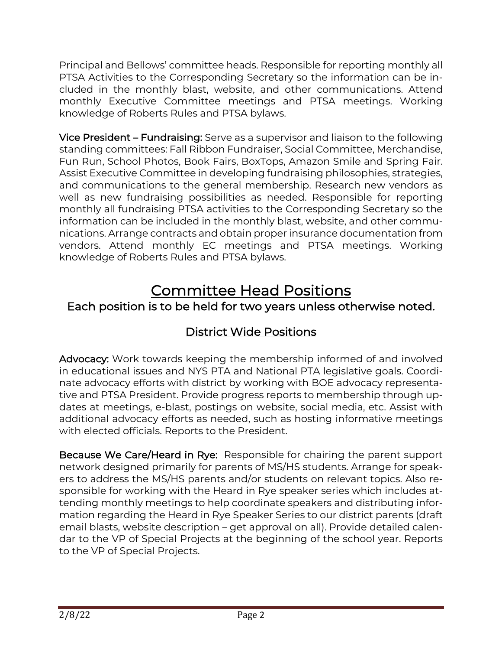Principal and Bellows' committee heads. Responsible for reporting monthly all PTSA Activities to the Corresponding Secretary so the information can be included in the monthly blast, website, and other communications. Attend monthly Executive Committee meetings and PTSA meetings. Working knowledge of Roberts Rules and PTSA bylaws.

Vice President – Fundraising: Serve as a supervisor and liaison to the following standing committees: Fall Ribbon Fundraiser, Social Committee, Merchandise, Fun Run, School Photos, Book Fairs, BoxTops, Amazon Smile and Spring Fair. Assist Executive Committee in developing fundraising philosophies, strategies, and communications to the general membership. Research new vendors as well as new fundraising possibilities as needed. Responsible for reporting monthly all fundraising PTSA activities to the Corresponding Secretary so the information can be included in the monthly blast, website, and other communications. Arrange contracts and obtain proper insurance documentation from vendors. Attend monthly EC meetings and PTSA meetings. Working knowledge of Roberts Rules and PTSA bylaws.

## Committee Head Positions

#### Each position is to be held for two years unless otherwise noted.

#### District Wide Positions

Advocacy: Work towards keeping the membership informed of and involved in educational issues and NYS PTA and National PTA legislative goals. Coordinate advocacy efforts with district by working with BOE advocacy representative and PTSA President. Provide progress reports to membership through updates at meetings, e-blast, postings on website, social media, etc. Assist with additional advocacy efforts as needed, such as hosting informative meetings with elected officials. Reports to the President.

Because We Care/Heard in Rye: Responsible for chairing the parent support network designed primarily for parents of MS/HS students. Arrange for speakers to address the MS/HS parents and/or students on relevant topics. Also responsible for working with the Heard in Rye speaker series which includes attending monthly meetings to help coordinate speakers and distributing information regarding the Heard in Rye Speaker Series to our district parents (draft email blasts, website description – get approval on all). Provide detailed calendar to the VP of Special Projects at the beginning of the school year. Reports to the VP of Special Projects.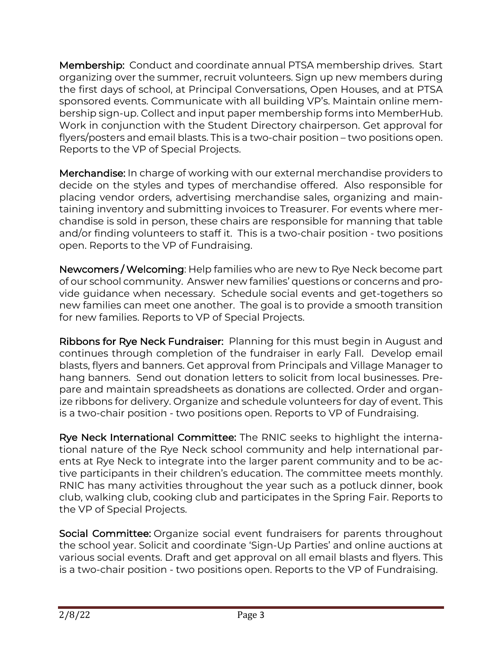Membership: Conduct and coordinate annual PTSA membership drives. Start organizing over the summer, recruit volunteers. Sign up new members during the first days of school, at Principal Conversations, Open Houses, and at PTSA sponsored events. Communicate with all building VP's. Maintain online membership sign-up. Collect and input paper membership forms into MemberHub. Work in conjunction with the Student Directory chairperson. Get approval for flyers/posters and email blasts. This is a two-chair position – two positions open. Reports to the VP of Special Projects.

Merchandise: In charge of working with our external merchandise providers to decide on the styles and types of merchandise offered. Also responsible for placing vendor orders, advertising merchandise sales, organizing and maintaining inventory and submitting invoices to Treasurer. For events where merchandise is sold in person, these chairs are responsible for manning that table and/or finding volunteers to staff it. This is a two-chair position - two positions open. Reports to the VP of Fundraising.

Newcomers / Welcoming: Help families who are new to Rye Neck become part of our school community. Answer new families' questions or concerns and provide guidance when necessary. Schedule social events and get-togethers so new families can meet one another. The goal is to provide a smooth transition for new families. Reports to VP of Special Projects.

Ribbons for Rye Neck Fundraiser: Planning for this must begin in August and continues through completion of the fundraiser in early Fall. Develop email blasts, flyers and banners. Get approval from Principals and Village Manager to hang banners. Send out donation letters to solicit from local businesses. Prepare and maintain spreadsheets as donations are collected. Order and organize ribbons for delivery. Organize and schedule volunteers for day of event. This is a two-chair position - two positions open. Reports to VP of Fundraising.

Rye Neck International Committee: The RNIC seeks to highlight the international nature of the Rye Neck school community and help international parents at Rye Neck to integrate into the larger parent community and to be active participants in their children's education. The committee meets monthly. RNIC has many activities throughout the year such as a potluck dinner, book club, walking club, cooking club and participates in the Spring Fair. Reports to the VP of Special Projects.

Social Committee: Organize social event fundraisers for parents throughout the school year. Solicit and coordinate 'Sign-Up Parties' and online auctions at various social events. Draft and get approval on all email blasts and flyers. This is a two-chair position - two positions open. Reports to the VP of Fundraising.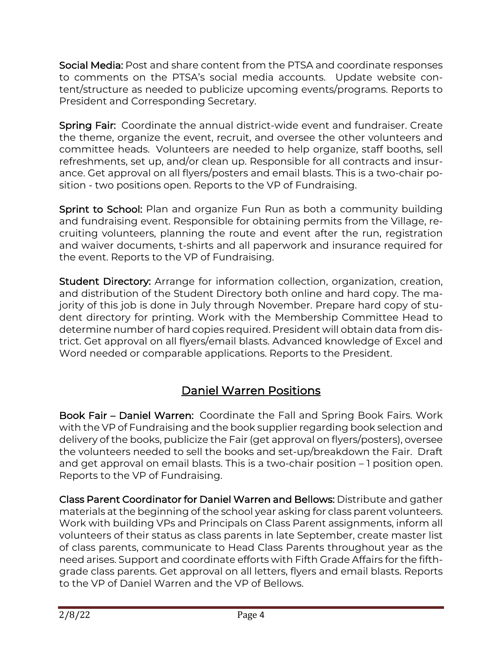Social Media: Post and share content from the PTSA and coordinate responses to comments on the PTSA's social media accounts. Update website content/structure as needed to publicize upcoming events/programs. Reports to President and Corresponding Secretary.

Spring Fair: Coordinate the annual district-wide event and fundraiser. Create the theme, organize the event, recruit, and oversee the other volunteers and committee heads. Volunteers are needed to help organize, staff booths, sell refreshments, set up, and/or clean up. Responsible for all contracts and insurance. Get approval on all flyers/posters and email blasts. This is a two-chair position - two positions open. Reports to the VP of Fundraising.

Sprint to School: Plan and organize Fun Run as both a community building and fundraising event. Responsible for obtaining permits from the Village, recruiting volunteers, planning the route and event after the run, registration and waiver documents, t-shirts and all paperwork and insurance required for the event. Reports to the VP of Fundraising.

Student Directory: Arrange for information collection, organization, creation, and distribution of the Student Directory both online and hard copy. The majority of this job is done in July through November. Prepare hard copy of student directory for printing. Work with the Membership Committee Head to determine number of hard copies required. President will obtain data from district. Get approval on all flyers/email blasts. Advanced knowledge of Excel and Word needed or comparable applications. Reports to the President.

## Daniel Warren Positions

Book Fair – Daniel Warren: Coordinate the Fall and Spring Book Fairs. Work with the VP of Fundraising and the book supplier regarding book selection and delivery of the books, publicize the Fair (get approval on flyers/posters), oversee the volunteers needed to sell the books and set-up/breakdown the Fair. Draft and get approval on email blasts. This is a two-chair position – 1 position open. Reports to the VP of Fundraising.

Class Parent Coordinator for Daniel Warren and Bellows: Distribute and gather materials at the beginning of the school year asking for class parent volunteers. Work with building VPs and Principals on Class Parent assignments, inform all volunteers of their status as class parents in late September, create master list of class parents, communicate to Head Class Parents throughout year as the need arises. Support and coordinate efforts with Fifth Grade Affairs for the fifthgrade class parents. Get approval on all letters, flyers and email blasts. Reports to the VP of Daniel Warren and the VP of Bellows.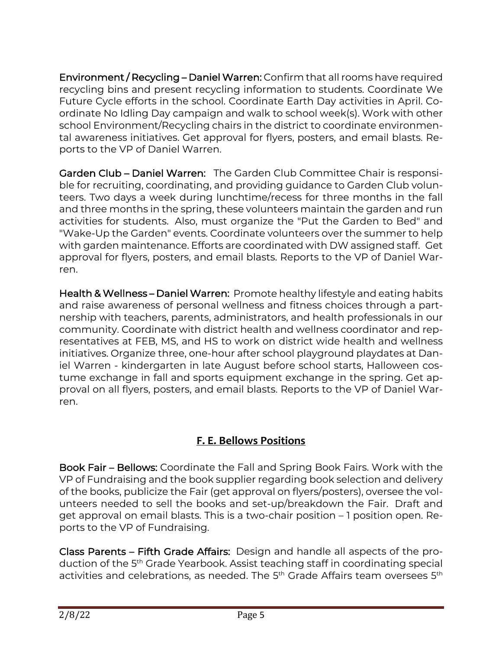Environment / Recycling – Daniel Warren: Confirm that all rooms have required recycling bins and present recycling information to students. Coordinate We Future Cycle efforts in the school. Coordinate Earth Day activities in April. Coordinate No Idling Day campaign and walk to school week(s). Work with other school Environment/Recycling chairs in the district to coordinate environmental awareness initiatives. Get approval for flyers, posters, and email blasts. Reports to the VP of Daniel Warren.

Garden Club – Daniel Warren: The Garden Club Committee Chair is responsible for recruiting, coordinating, and providing guidance to Garden Club volunteers. Two days a week during lunchtime/recess for three months in the fall and three months in the spring, these volunteers maintain the garden and run activities for students. Also, must organize the "Put the Garden to Bed" and "Wake-Up the Garden" events. Coordinate volunteers over the summer to help with garden maintenance. Efforts are coordinated with DW assigned staff. Get approval for flyers, posters, and email blasts. Reports to the VP of Daniel Warren.

Health & Wellness – Daniel Warren: Promote healthy lifestyle and eating habits and raise awareness of personal wellness and fitness choices through a partnership with teachers, parents, administrators, and health professionals in our community. Coordinate with district health and wellness coordinator and representatives at FEB, MS, and HS to work on district wide health and wellness initiatives. Organize three, one-hour after school playground playdates at Daniel Warren - kindergarten in late August before school starts, Halloween costume exchange in fall and sports equipment exchange in the spring. Get approval on all flyers, posters, and email blasts. Reports to the VP of Daniel Warren.

#### **F. E. Bellows Positions**

Book Fair – Bellows: Coordinate the Fall and Spring Book Fairs. Work with the VP of Fundraising and the book supplier regarding book selection and delivery of the books, publicize the Fair (get approval on flyers/posters), oversee the volunteers needed to sell the books and set-up/breakdown the Fair. Draft and get approval on email blasts. This is a two-chair position – 1 position open. Reports to the VP of Fundraising.

Class Parents – Fifth Grade Affairs: Design and handle all aspects of the production of the 5th Grade Yearbook. Assist teaching staff in coordinating special activities and celebrations, as needed. The 5<sup>th</sup> Grade Affairs team oversees 5<sup>th</sup>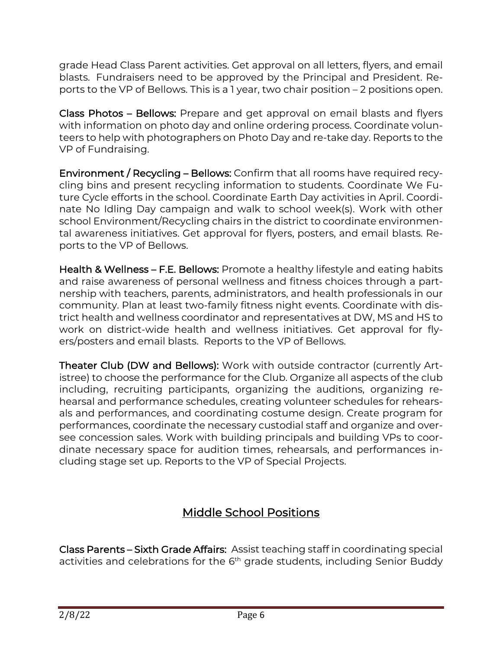grade Head Class Parent activities. Get approval on all letters, flyers, and email blasts. Fundraisers need to be approved by the Principal and President. Reports to the VP of Bellows. This is a 1 year, two chair position – 2 positions open.

Class Photos – Bellows: Prepare and get approval on email blasts and flyers with information on photo day and online ordering process. Coordinate volunteers to help with photographers on Photo Day and re-take day. Reports to the VP of Fundraising.

Environment / Recycling – Bellows: Confirm that all rooms have required recycling bins and present recycling information to students. Coordinate We Future Cycle efforts in the school. Coordinate Earth Day activities in April. Coordinate No Idling Day campaign and walk to school week(s). Work with other school Environment/Recycling chairs in the district to coordinate environmental awareness initiatives. Get approval for flyers, posters, and email blasts. Reports to the VP of Bellows.

Health & Wellness – F.E. Bellows: Promote a healthy lifestyle and eating habits and raise awareness of personal wellness and fitness choices through a partnership with teachers, parents, administrators, and health professionals in our community. Plan at least two-family fitness night events. Coordinate with district health and wellness coordinator and representatives at DW, MS and HS to work on district-wide health and wellness initiatives. Get approval for flyers/posters and email blasts. Reports to the VP of Bellows.

Theater Club (DW and Bellows): Work with outside contractor (currently Artistree) to choose the performance for the Club. Organize all aspects of the club including, recruiting participants, organizing the auditions, organizing rehearsal and performance schedules, creating volunteer schedules for rehearsals and performances, and coordinating costume design. Create program for performances, coordinate the necessary custodial staff and organize and oversee concession sales. Work with building principals and building VPs to coordinate necessary space for audition times, rehearsals, and performances including stage set up. Reports to the VP of Special Projects.

## Middle School Positions

Class Parents – Sixth Grade Affairs: Assist teaching staff in coordinating special activities and celebrations for the 6<sup>th</sup> grade students, including Senior Buddy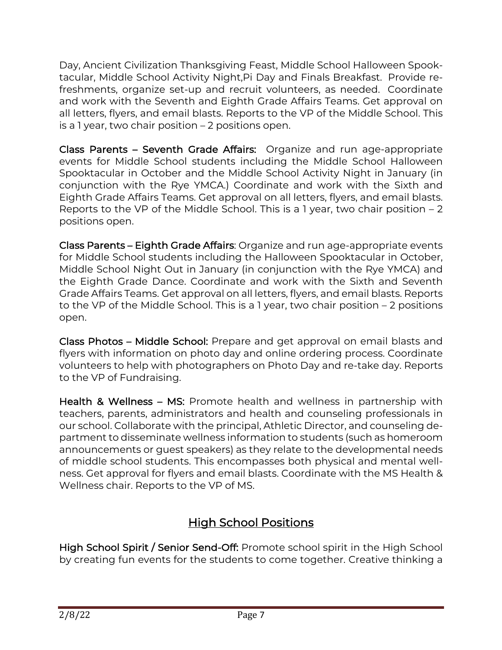Day, Ancient Civilization Thanksgiving Feast, Middle School Halloween Spooktacular, Middle School Activity Night,Pi Day and Finals Breakfast. Provide refreshments, organize set-up and recruit volunteers, as needed. Coordinate and work with the Seventh and Eighth Grade Affairs Teams. Get approval on all letters, flyers, and email blasts. Reports to the VP of the Middle School. This is a 1 year, two chair position – 2 positions open.

Class Parents – Seventh Grade Affairs: Organize and run age-appropriate events for Middle School students including the Middle School Halloween Spooktacular in October and the Middle School Activity Night in January (in conjunction with the Rye YMCA.) Coordinate and work with the Sixth and Eighth Grade Affairs Teams. Get approval on all letters, flyers, and email blasts. Reports to the VP of the Middle School. This is a 1 year, two chair position  $-2$ positions open.

Class Parents – Eighth Grade Affairs: Organize and run age-appropriate events for Middle School students including the Halloween Spooktacular in October, Middle School Night Out in January (in conjunction with the Rye YMCA) and the Eighth Grade Dance. Coordinate and work with the Sixth and Seventh Grade Affairs Teams. Get approval on all letters, flyers, and email blasts. Reports to the VP of the Middle School. This is a 1 year, two chair position – 2 positions open.

Class Photos – Middle School: Prepare and get approval on email blasts and flyers with information on photo day and online ordering process. Coordinate volunteers to help with photographers on Photo Day and re-take day. Reports to the VP of Fundraising.

Health & Wellness – MS: Promote health and wellness in partnership with teachers, parents, administrators and health and counseling professionals in our school. Collaborate with the principal, Athletic Director, and counseling department to disseminate wellness information to students (such as homeroom announcements or guest speakers) as they relate to the developmental needs of middle school students. This encompasses both physical and mental wellness. Get approval for flyers and email blasts. Coordinate with the MS Health & Wellness chair. Reports to the VP of MS.

## High School Positions

High School Spirit / Senior Send-Off: Promote school spirit in the High School by creating fun events for the students to come together. Creative thinking a